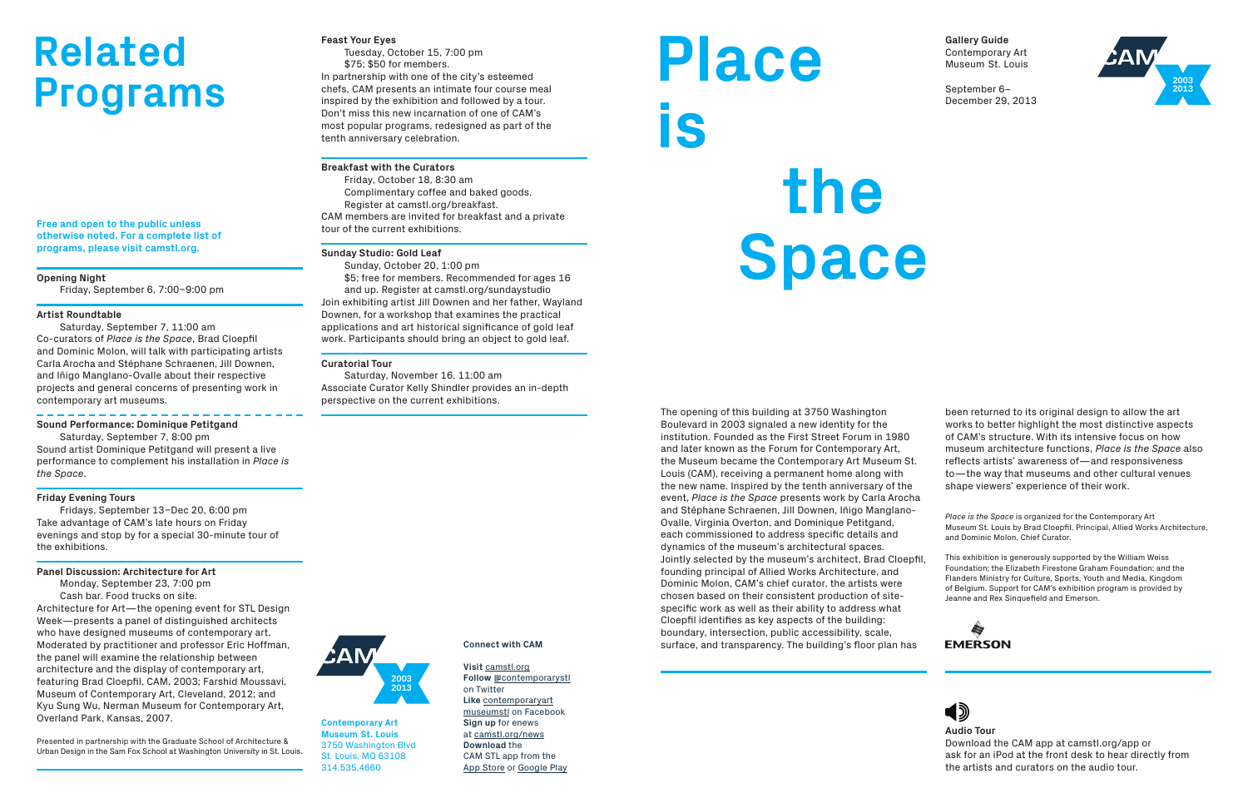**Free and open to the public unless otherwise noted. For a complete list of programs, please visit camstl.org.**

**Opening Night**

Friday, September 6, 7:00–9:00 pm

#### **Artist Roundtable**

Saturday, September 7, 11:00 am Co-curators of *Place is the Space*, Brad Cloepfil and Dominic Molon, will talk with participating artists Carla Arocha and Stéphane Schraenen, Jill Downen, and Iñigo Manglano-Ovalle about their respective projects and general concerns of presenting work in contemporary art museums.

#### **Sound Performance: Dominique Petitgand**

Saturday, September 7, 8:00 pm Sound artist Dominique Petitgand will present a live performance to complement his installation in *Place is the Space*.

#### **Friday Evening Tours**

Fridays, September 13–Dec 20, 6:00 pm Take advantage of CAM's late hours on Friday evenings and stop by for a special 30-minute tour of the exhibitions.

### **Panel Discussion: Architecture for Art**

Monday, September 23, 7:00 pm Cash bar. Food trucks on site. Architecture for Art—the opening event for STL Design Week—presents a panel of distinguished architects who have designed museums of contemporary art. Moderated by practitioner and professor Eric Hoffman, the panel will examine the relationship between architecture and the display of contemporary art, featuring Brad Cloepfil, CAM, 2003; Farshid Moussavi, Museum of Contemporary Art, Cleveland, 2012; and Kyu Sung Wu, Nerman Museum for Contemporary Art, Overland Park, Kansas, 2007.

Presented in partnership with the Graduate School of Architecture & Urban Design in the Sam Fox School at Washington University in St. Louis.

## **Feast Your Eyes**

Tuesday, October 15, 7:00 pm \$75; \$50 for members.

In partnership with one of the city's esteemed chefs, CAM presents an intimate four course meal inspired by the exhibition and followed by a tour. Don't miss this new incarnation of one of CAM's most popular programs, redesigned as part of the tenth anniversary celebration.

# **Breakfast with the Curators**

Friday, October 18, 8:30 am Complimentary coffee and baked goods. Register at camstl.org/breakfast. CAM members are invited for breakfast and a private tour of the current exhibitions.

## **Sunday Studio: Gold Leaf**

Sunday, October 20, 1:00 pm \$5; free for members. Recommended for ages 16 and up. Register at camstl.org/sundaystudio Join exhibiting artist Jill Downen and her father, Wayland Downen, for a workshop that examines the practical applications and art historical significance of gold leaf work. Participants should bring an object to gold leaf.

#### **Curatorial Tour**

Saturday, November 16, 11:00 am Associate Curator Kelly Shindler provides an in-depth perspective on the current exhibitions.

**Contemporary Art Museum St. Louis** 3750 Washington Blvd St. Louis, MO 63108 314.535.4660

# **Connect with CAM**

**Visit** camstl.org **Follow** @contemporarystl on Twitter **Like** contemporaryart museumstl on Facebook **Sign up** for enews at camstl.org/news **Download** the CAM STL app from the App Store or Google Play



# **Related Programs**

The opening of this building at 3750 Washington Boulevard in 2003 signaled a new identity for the institution. Founded as the First Street Forum in 1980 and later known as the Forum for Contemporary Art, the Museum became the Contemporary Art Museum St. Louis (CAM), receiving a permanent home along with the new name. Inspired by the tenth anniversary of the event, *Place is the Space* presents work by Carla Arocha and Stéphane Schraenen, Jill Downen, Iñigo Manglano-Ovalle, Virginia Overton, and Dominique Petitgand, each commissioned to address specific details and dynamics of the museum's architectural spaces. Jointly selected by the museum's architect, Brad Cloepfil, founding principal of Allied Works Architecture, and Dominic Molon, CAM's chief curator, the artists were chosen based on their consistent production of sitespecific work as well as their ability to address what Cloepfil identifies as key aspects of the building: boundary, intersection, public accessibility, scale, surface, and transparency. The building's floor plan has





**Gallery Guide** Contemporary Art Museum St. Louis

September 6– December 29, 2013

# **Place  is the Space**

**Audio Tour** Download the CAM app at camstl.org/app or ask for an iPod at the front desk to hear directly from the artists and curators on the audio tour.